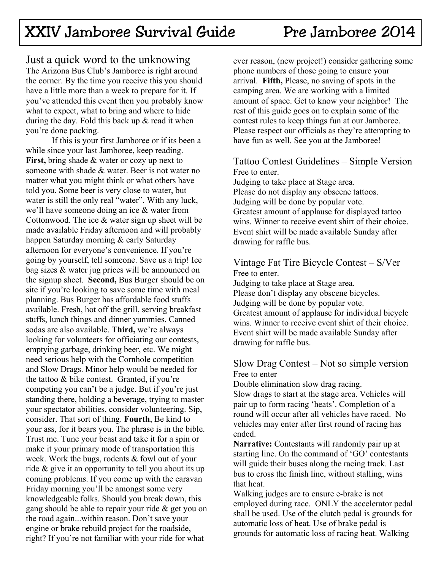# XXIV Jamboree Survival Guide Pre Jamboree 2014

Just a quick word to the unknowing The Arizona Bus Club's Jamboree is right around the corner. By the time you receive this you should have a little more than a week to prepare for it. If you've attended this event then you probably know what to expect, what to bring and where to hide during the day. Fold this back up  $\&$  read it when you're done packing.

 If this is your first Jamboree or if its been a while since your last Jamboree, keep reading. **First,** bring shade & water or cozy up next to someone with shade & water. Beer is not water no matter what you might think or what others have told you. Some beer is very close to water, but water is still the only real "water". With any luck, we'll have someone doing an ice & water from Cottonwood. The ice & water sign up sheet will be made available Friday afternoon and will probably happen Saturday morning & early Saturday afternoon for everyone's convenience. If you're going by yourself, tell someone. Save us a trip! Ice bag sizes & water jug prices will be announced on the signup sheet. **Second,** Bus Burger should be on site if you're looking to save some time with meal planning. Bus Burger has affordable food stuffs available. Fresh, hot off the grill, serving breakfast stuffs, lunch things and dinner yummies. Canned sodas are also available. **Third,** we're always looking for volunteers for officiating our contests, emptying garbage, drinking beer, etc. We might need serious help with the Cornhole competition and Slow Drags. Minor help would be needed for the tattoo & bike contest. Granted, if you're competing you can't be a judge. But if you're just standing there, holding a beverage, trying to master your spectator abilities, consider volunteering. Sip, consider. That sort of thing. **Fourth**, Be kind to your ass, for it bears you. The phrase is in the bible. Trust me. Tune your beast and take it for a spin or make it your primary mode of transportation this week. Work the bugs, rodents & fowl out of your ride & give it an opportunity to tell you about its up coming problems. If you come up with the caravan Friday morning you'll be amongst some very knowledgeable folks. Should you break down, this gang should be able to repair your ride & get you on the road again...within reason. Don't save your engine or brake rebuild project for the roadside, right? If you're not familiar with your ride for what

ever reason, (new project!) consider gathering some phone numbers of those going to ensure your arrival. **Fifth,** Please, no saving of spots in the camping area. We are working with a limited amount of space. Get to know your neighbor! The rest of this guide goes on to explain some of the contest rules to keep things fun at our Jamboree. Please respect our officials as they're attempting to have fun as well. See you at the Jamboree!

#### Tattoo Contest Guidelines – Simple Version Free to enter.

Judging to take place at Stage area. Please do not display any obscene tattoos. Judging will be done by popular vote. Greatest amount of applause for displayed tattoo wins. Winner to receive event shirt of their choice. Event shirt will be made available Sunday after drawing for raffle bus.

### Vintage Fat Tire Bicycle Contest – S/Ver Free to enter.

Judging to take place at Stage area. Please don't display any obscene bicycles. Judging will be done by popular vote. Greatest amount of applause for individual bicycle wins. Winner to receive event shirt of their choice. Event shirt will be made available Sunday after drawing for raffle bus.

#### Slow Drag Contest – Not so simple version Free to enter

Double elimination slow drag racing. Slow drags to start at the stage area. Vehicles will pair up to form racing 'heats'. Completion of a round will occur after all vehicles have raced. No vehicles may enter after first round of racing has ended.

**Narrative:** Contestants will randomly pair up at starting line. On the command of 'GO' contestants will guide their buses along the racing track. Last bus to cross the finish line, without stalling, wins that heat.

Walking judges are to ensure e-brake is not employed during race. ONLY the accelerator pedal shall be used. Use of the clutch pedal is grounds for automatic loss of heat. Use of brake pedal is grounds for automatic loss of racing heat. Walking